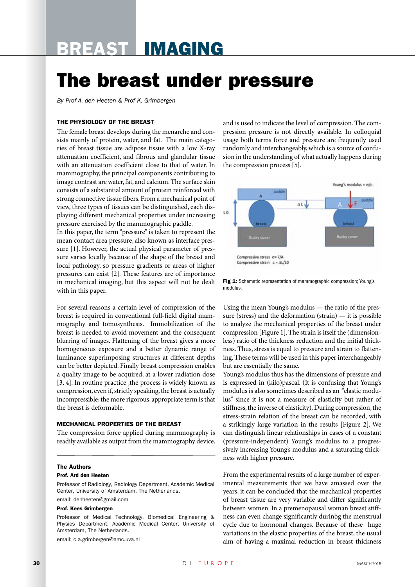# Breast Imaging

# The breast under pressure

*By Prof A. den Heeten & Prof K. Grimbergen*

## The physiology of the breast

The female breast develops during the menarche and consists mainly of protein, water, and fat. The main categories of breast tissue are adipose tissue with a low X-ray attenuation coefficient, and fibrous and glandular tissue with an attenuation coefficient close to that of water. In mammography, the principal components contributing to image contrast are water, fat, and calcium. The surface skin consists of a substantial amount of protein reinforced with strong connective tissue fibers. From a mechanical point of view, three types of tissues can be distinguished, each displaying different mechanical properties under increasing pressure exercised by the mammographic paddle.

In this paper, the term "pressure" is taken to represent the mean contact area pressure, also known as interface pressure [1]. However, the actual physical parameter of pressure varies locally because of the shape of the breast and local pathology, so pressure gradients or areas of higher pressures can exist [2]. These features are of importance in mechanical imaging, but this aspect will not be dealt with in this paper.

For several reasons a certain level of compression of the breast is required in conventional full-field digital mammography and tomosynthesis. Immobilization of the breast is needed to avoid movement and the consequent blurring of images. Flattening of the breast gives a more homogeneous exposure and a better dynamic range of luminance superimposing structures at different depths can be better depicted. Finally breast compression enables a quality image to be acquired, at a lower radiation dose [3, 4]. In routine practice , the process is widely known as compression, even if, strictly speaking, the breast is actually incompressible; the more rigorous, appropriate term is that the breast is deformable.

## Mechanical properties of the breast

The compression force applied during mammography is readily available as output from the mammography device,

#### The Authors

#### Prof. Ard den Heeten

Professor of Radiology, Radiology Department, Academic Medical Center, University of Amsterdam, The Netherlands.

## email: denheeten@gmail.com

## Prof. Kees Grimbergen

Professor of Medical Technology, Biomedical Engineering & Physics Department, Academic Medical Center, University of Amsterdam, The Netherlands.

email: c.a.grimbergen@amc.uva.nl

and is used to indicate the level of compression. The compression pressure is not directly available. In colloquial usage both terms force and pressure are frequently used randomly and interchangeably, which is a source of confusion in the understanding of what actually happens during the compression process [5].



Fig 1: Schematic representation of mammographic compression; Young's modulus.

Using the mean Young's modulus — the ratio of the pressure (stress) and the deformation (strain) — it is possible to analyze the mechanical properties of the breast under compression [Figure 1]. The strain is itself the (dimensionless) ratio of the thickness reduction and the initial thickness. Thus, stress is equal to pressure and strain to flattening. These terms will be used in this paper interchangeably but are essentially the same.

Young's modulus thus has the dimensions of pressure and is expressed in (kilo)pascal. (It is confusing that Young's modulus is also sometimes described as an "elastic modulus" since it is not a measure of elasticity but rather of stiffness, the inverse of elasticity). During compression, the stress-strain relation of the breast can be recorded, with a strikingly large variation in the results [Figure 2]. We can distinguish linear relationships in cases of a constant (pressure-independent) Young's modulus to a progressively increasing Young's modulus and a saturating thickness with higher pressure.

From the experimental results of a large number of experimental measurements that we have amassed over the years, it can be concluded that the mechanical properties of breast tissue are very variable and differ significantly between women. In a premenopausal woman breast stiffness can even change significantly durinbg the menstrual cycle due to hormonal changes. Because of these huge variations in the elastic properties of the breast, the usual aim of having a maximal reduction in breast thickness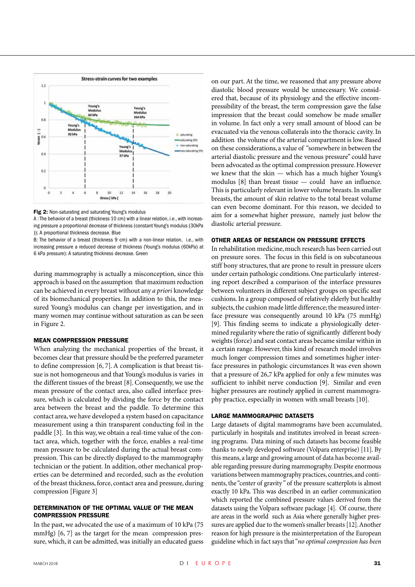

![](_page_1_Figure_1.jpeg)

A : The behavior of a breast (thickness 10 cm) with a linear relation, i.e., with increasing pressure a proportional decrease of thickness (constant Young's modulus (30kPa )); A proportional thickness decrease. Blue

B: The behavior of a breast (thickness 9 cm) with a non-linear relation, i.e., with increasing pressure a reduced decrease of thickness (Young's modulus (60kPa) at 6 kPa pressure): A saturating thickness decrease. Green

during mammography is actually a misconception, since this approach is based on the assumption that maximum reduction can be achieved in every breast without any *a priori* knowledge of its biomechanical properties. In addition to this, the measured Young's modulus can change per investigation, and in many women may continue without saturation as can be seen in Figure 2.

#### Mean compression pressure

When analyzing the mechanical properties of the breast, it becomes clear that pressure should be the preferred parameter to define compression [6, 7]. A complication is that breast tissue is not homogeneous and that Young's modulus is varies in the different tissues of the breast [8]. Consequently, we use the mean pressure of the contact area, also called interface pressure, which is calculated by dividing the force by the contact area between the breast and the paddle. To determine this contact area, we have developed a system based on capacitance measurement using a thin transparent conducting foil in the paddle [3]. In this way, we obtain a real-time value of the contact area, which, together with the force, enables a real-time mean pressure to be calculated during the actual breast compression. This can be directly displayed to the mammography technician or the patient. In addition, other mechanical properties can be determined and recorded, such as the evolution of the breast thickness, force, contact area and pressure, during compression [Figure 3]

## Determination of the optimal value of the mean compression pressure

In the past, we advocated the use of a maximum of 10 kPa (75 mmHg) [6, 7] as the target for the mean compression pressure, which, it can be admitted, was initially an educated guess on our part. At the time, we reasoned that any pressure above diastolic blood pressure would be unnecessary. We considered that, because of its physiology and the effective incompressibility of the breast, the term compression gave the false impression that the breast could somehow be made smaller in volume. In fact only a very small amount of blood can be evacuated via the venous collaterals into the thoracic cavity. In addition the volume of the arterial compartment is low. Based on these considerations, a value of "somewhere in between the arterial diastolic pressure and the venous pressure" could have been advocated as the optimal compression pressure. However we knew that the skin — which has a much higher Young's modulus [8] than breast tissue — could have an influence. This is particularly relevant in lower volume breasts. In smaller breasts, the amount of skin relative to the total breast volume can even become dominant. For this reason, we decided to aim for a somewhat higher pressure, namely just below the diastolic arterial pressure.

### Other areas of research on Pressure effects

In rehabilitation medicine, much research has been carried out on pressure sores. The focus in this field is on subcutaneous stiff bony structures, that are prone to result in pressure ulcers under certain pathologic conditions. One particularly interesting report described a comparison of the interface pressures between volunteers in different subject groups on specific seat cushions. In a group composed of relatively elderly but healthy subjects, the cushion made little difference; the measured interface pressure was consequently around 10 kPa (75 mmHg) [9]. This finding seems to indicate a physiologically determined regularity where the ratio of significantly different body weights (force) and seat contact areas became similar within in a certain range. However, this kind of research model involves much longer compression times and sometimes higher interface pressures in pathologic circumstances It was even shown that a pressure of 26,7 kPa applied for only a few minutes was sufficient to inhibit nerve conduction [9]. Similar and even higher pressures are routinely applied in current mammography practice, especially in women with small breasts [10].

### Large mammographic datasets

Large datasets of digital mammograms have been accumulated, particularly in hospitals and institutes involved in breast screening programs. Data mining of such datasets has become feasible thanks to newly developed software (Volpara enterprise) [11]. By this means, a large and growing amount of data has become available regarding pressure during mammography. Despite enormous variations between mammography practices, countries, and continents, the "center of gravity " of the pressure scatterplots is almost exactly 10 kPa. This was described in an earlier communication which reported the combined pressure values derived from the datasets using the Volpara software package [4]. Of course, there are areas in the world such as Asia where generally higher pressures are applied due to the women's smaller breasts [12]. Another reason for high pressure is the misinterpretation of the European guideline which in fact says that "*no optimal compression has been*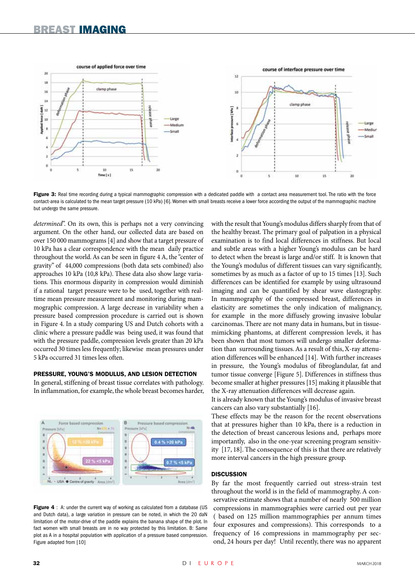![](_page_2_Figure_1.jpeg)

Figure 3: Real time recording during a typical mammographic compression with a dedicated paddle with a contact area measurement tool. The ratio with the force contact-area is calculated to the mean target pressure (10 kPa) [6]. Women with small breasts receive a lower force according the output of the mammographic machine but undergo the same pressure.

*determined*". On its own, this is perhaps not a very convincing argument. On the other hand, our collected data are based on over 150 000 mammograms [4] and show that a target pressure of 10 kPa has a clear correspondence with the mean daily practice throughout the world. As can be seen in figure 4 A, the "center of gravity" of 44,000 compressions (both data sets combined) also approaches 10 kPa (10,8 kPa). These data also show large variations. This enormous disparity in compression would diminish if a rational target pressure were to be used, together with realtime mean pressure measurement and monitoring during mammographic compression. A large decrease in variability when a pressure based compression procedure is carried out is shown in Figure 4. In a study comparing US and Dutch cohorts with a clinic where a pressure paddle was being used, it was found that with the pressure paddle, compression levels greater than 20 kPa occurred 30 times less frequently; likewise mean pressures under 5 kPa occurred 31 times less often.

## Pressure, Young's modulus, and lesion detection

In general, stiffening of breast tissue correlates with pathology. In inflammation, for example, the whole breast becomes harder,

![](_page_2_Figure_6.jpeg)

**Figure 4** : A: under the current way of working as calculated from a database (US) and Dutch data), a large variation in pressure can be noted, in which the 20 daN limitation of the motor-drive of the paddle explains the banana shape of the plot. In fact women with small breasts are in no way protected by this limitation. B: Same plot as A in a hospital population with application of a pressure based compression. Figure adapted from [10]

with the result that Young's modulus differs sharply from that of the healthy breast. The primary goal of palpation in a physical examination is to find local differences in stiffness. But local and subtle areas with a higher Young's modulus can be hard to detect when the breast is large and/or stiff. It is known that the Young's modulus of different tissues can vary significantly, sometimes by as much as a factor of up to 15 times [13]. Such differences can be identified for example by using ultrasound imaging and can be quantified by shear wave elastography. In mammography of the compressed breast, differences in elasticity are sometimes the only indication of malignancy, for example in the more diffusely growing invasive lobular carcinomas. There are not many data in humans, but in tissuemimicking phantoms, at different compression levels, it has been shown that most tumors will undergo smaller deformation than surrounding tissues. As a result of this, X-ray attenuation differences will be enhanced [14]. With further increases in pressure, the Young's modulus of fibroglandular, fat and tumor tissue converge [Figure 5]. Differences in stiffness thus become smaller at higher pressures [15] making it plausible that the X-ray attenuation differences will decrease again.

It is already known that the Young's modulus of invasive breast cancers can also vary substantially [16].

These effects may be the reason for the recent observations that at pressures higher than 10 kPa, there is a reduction in the detection of breast cancerous lesions and, perhaps more importantly, also in the one-year screening program sensitivity [17, 18]. The consequence of this is that there are relatively more interval cancers in the high pressure group.

#### **DISCUSSION**

By far the most frequently carried out stress-strain test throughout the world is in the field of mammography. A conservative estimate shows that a number of nearly 500 million compressions in mammographies were carried out per year ( based on 125 million mammographies per annum times four exposures and compressions). This corresponds to a frequency of 16 compressions in mammography per second, 24 hours per day! Until recently, there was no apparent